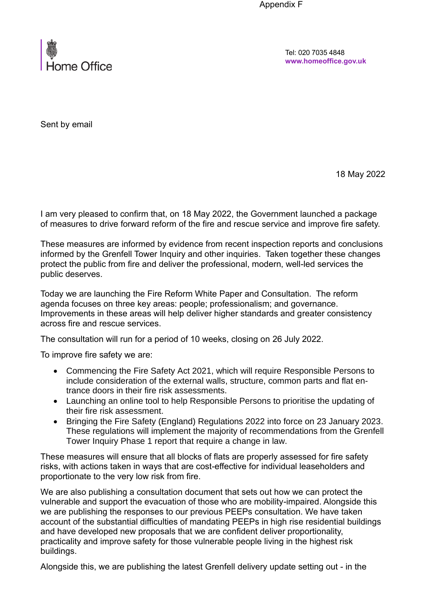Appendix F



Tel: 020 7035 4848 **www.homeoffice.gov.uk**

Sent by email

18 May 2022

I am very pleased to confirm that, on 18 May 2022, the Government launched a package of measures to drive forward reform of the fire and rescue service and improve fire safety.

These measures are informed by evidence from recent inspection reports and conclusions informed by the Grenfell Tower Inquiry and other inquiries. Taken together these changes protect the public from fire and deliver the professional, modern, well-led services the public deserves.

Today we are launching the Fire Reform White Paper and Consultation. The reform agenda focuses on three key areas: people; professionalism; and governance. Improvements in these areas will help deliver higher standards and greater consistency across fire and rescue services.

The consultation will run for a period of 10 weeks, closing on 26 July 2022.

To improve fire safety we are:

- Commencing the Fire Safety Act 2021, which will require Responsible Persons to include consideration of the external walls, structure, common parts and flat entrance doors in their fire risk assessments.
- Launching an online tool to help Responsible Persons to prioritise the updating of their fire risk assessment.
- Bringing the Fire Safety (England) Regulations 2022 into force on 23 January 2023. These regulations will implement the majority of recommendations from the Grenfell Tower Inquiry Phase 1 report that require a change in law.

These measures will ensure that all blocks of flats are properly assessed for fire safety risks, with actions taken in ways that are cost-effective for individual leaseholders and proportionate to the very low risk from fire.

We are also publishing a consultation document that sets out how we can protect the vulnerable and support the evacuation of those who are mobility-impaired. Alongside this we are publishing the responses to our previous PEEPs consultation. We have taken account of the substantial difficulties of mandating PEEPs in high rise residential buildings and have developed new proposals that we are confident deliver proportionality, practicality and improve safety for those vulnerable people living in the highest risk buildings.

Alongside this, we are publishing the latest Grenfell delivery update setting out - in the